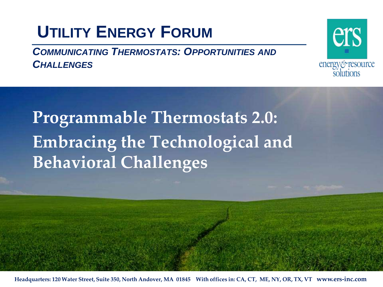### **UTILITY ENERGY FORUM**

*COMMUNICATING THERMOSTATS: OPPORTUNITIES AND CHALLENGES*



**Programmable Thermostats 2.0: Embracing the Technological and Behavioral Challenges**

**Headquarters: 120 Water Street, Suite 350, North Andover, MA 01845 With offices in: CA, CT, ME, NY, OR, TX, VT www.ers-inc.com**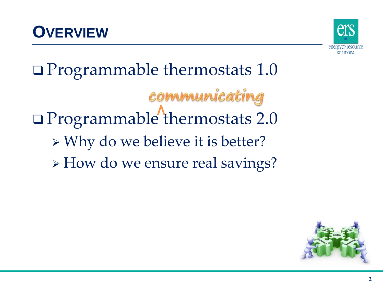



 Programmable thermostats 1.0 communicating Programmable thermostats 2.0 Why do we believe it is better? > How do we ensure real savings?

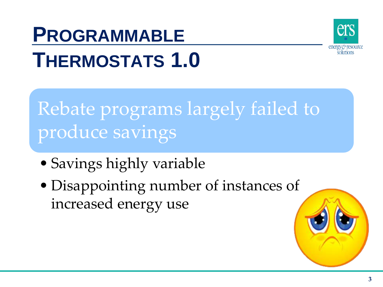

# **PROGRAMMABLE THERMOSTATS 1.0**

Rebate programs largely failed to produce savings

- Savings highly variable
- Disappointing number of instances of increased energy use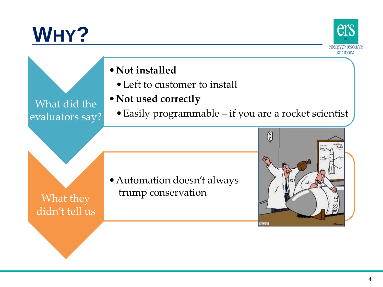# **WHY?**



•**Not installed**

- Left to customer to install
- •**Not used correctly**

What did the evaluators say?

•Easily programmable – if you are a rocket scientist



•Automation doesn't always trump conservation

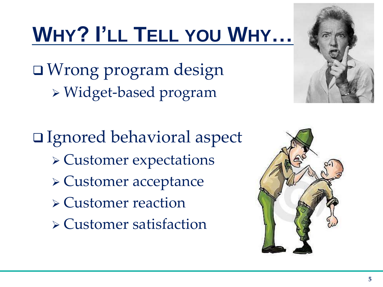# **WHY? I'LL TELL YOU WHY…**

 Wrong program design Widget-based program



 Ignored behavioral aspect Customer expectations Customer acceptance Customer reaction Customer satisfaction

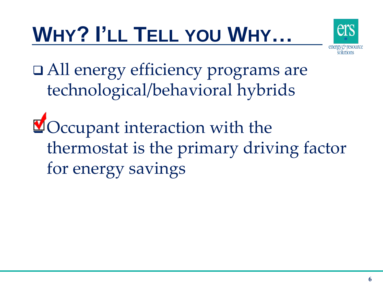# **WHY? I'LL TELL YOU WHY…**



□ All energy efficiency programs are technological/behavioral hybrids

**g**Occupant interaction with the thermostat is the primary driving factor for energy savings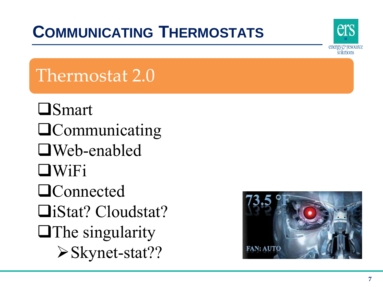## **COMMUNICATING THERMOSTATS**



## Thermostat 2.0

**O**Smart **Q**Communicating Web-enabled WiFi **Q**Connected iStat? Cloudstat?  $\Box$  The singularity Skynet-stat??

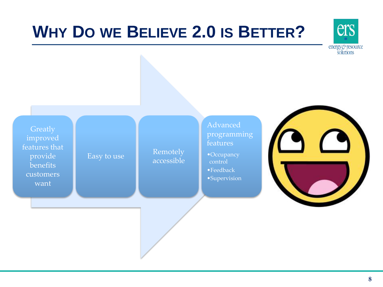### **WHY DO WE BELIEVE 2.0 IS BETTER?**



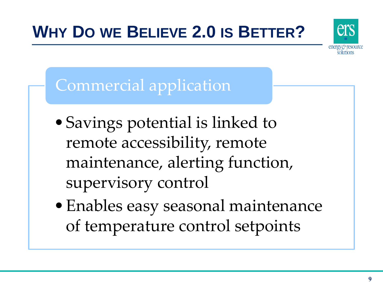## **WHY DO WE BELIEVE 2.0 IS BETTER?**



#### Commercial application

- •Savings potential is linked to remote accessibility, remote maintenance, alerting function, supervisory control
- •Enables easy seasonal maintenance of temperature control setpoints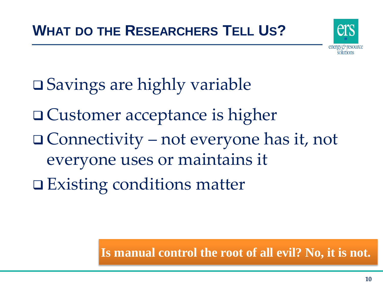

- **□ Savings are highly variable**
- □ Customer acceptance is higher
- Connectivity not everyone has it, not everyone uses or maintains it
- **□ Existing conditions matter**

**Is manual control the root of all evil? No, it is not.**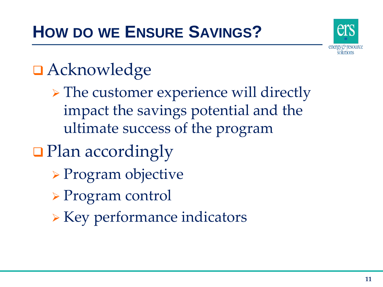

## Acknowledge

- > The customer experience will directly impact the savings potential and the ultimate success of the program
- **D** Plan accordingly
	- Program objective
	- Program control
	- $\triangleright$  Key performance indicators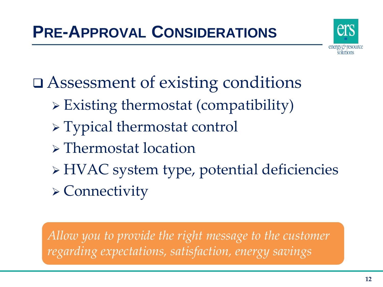

Assessment of existing conditions

- $\triangleright$  Existing thermostat (compatibility)
- Typical thermostat control
- Thermostat location
- HVAC system type, potential deficiencies Connectivity

*Allow you to provide the right message to the customer regarding expectations, satisfaction, energy savings*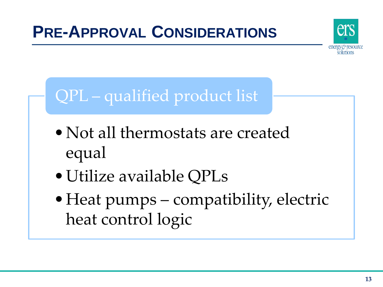

## QPL – qualified product list

- Not all thermostats are created equal
- •Utilize available QPLs
- •Heat pumps compatibility, electric heat control logic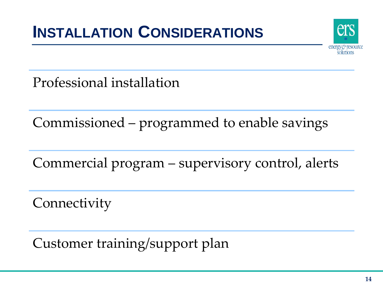#### **INSTALLATION CONSIDERATIONS**



Professional installation

Commissioned – programmed to enable savings

Commercial program – supervisory control, alerts

**Connectivity** 

Customer training/support plan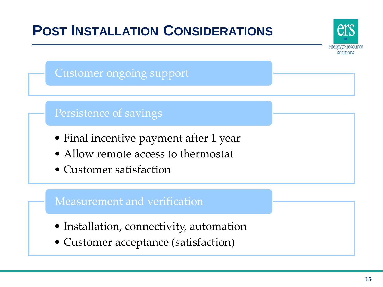

• Customer acceptance (satisfaction)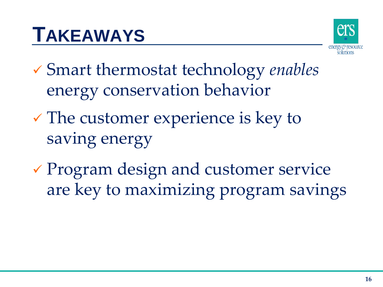# **TAKEAWAYS**



- Smart thermostat technology *enables* energy conservation behavior
- $\checkmark$  The customer experience is key to saving energy
- Program design and customer service are key to maximizing program savings